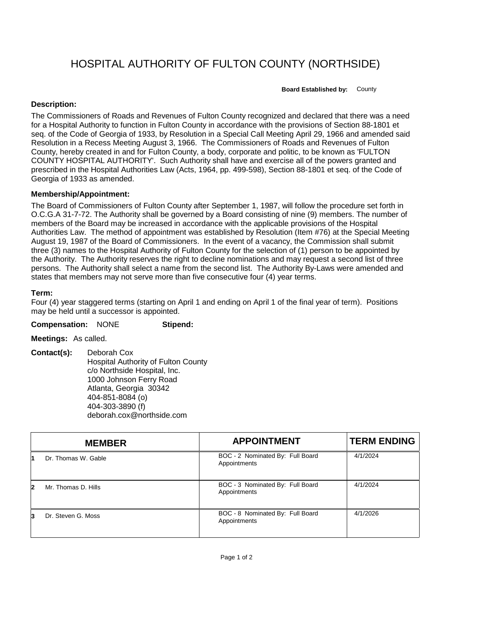HOSPITAL AUTHORITY OF FULTON COUNTY (NORTHSIDE)

**Board Established by:** County

## **Description:**

The Commissioners of Roads and Revenues of Fulton County recognized and declared that there was a need for a Hospital Authority to function in Fulton County in accordance with the provisions of Section 88-1801 et seq. of the Code of Georgia of 1933, by Resolution in a Special Call Meeting April 29, 1966 and amended said Resolution in a Recess Meeting August 3, 1966. The Commissioners of Roads and Revenues of Fulton County, hereby created in and for Fulton County, a body, corporate and politic, to be known as 'FULTON COUNTY HOSPITAL AUTHORITY'. Such Authority shall have and exercise all of the powers granted and prescribed in the Hospital Authorities Law (Acts, 1964, pp. 499-598), Section 88-1801 et seq. of the Code of Georgia of 1933 as amended.

## **Membership/Appointment:**

The Board of Commissioners of Fulton County after September 1, 1987, will follow the procedure set forth in O.C.G.A 31-7-72. The Authority shall be governed by a Board consisting of nine (9) members. The number of members of the Board may be increased in accordance with the applicable provisions of the Hospital Authorities Law. The method of appointment was established by Resolution (Item #76) at the Special Meeting August 19, 1987 of the Board of Commissioners. In the event of a vacancy, the Commission shall submit three (3) names to the Hospital Authority of Fulton County for the selection of (1) person to be appointed by the Authority. The Authority reserves the right to decline nominations and may request a second list of three persons. The Authority shall select a name from the second list. The Authority By-Laws were amended and states that members may not serve more than five consecutive four (4) year terms.

## **Term:**

Four (4) year staggered terms (starting on April 1 and ending on April 1 of the final year of term). Positions may be held until a successor is appointed.

**Compensation:** NONE **Stipend:**

**Meetings:** As called.

**Contact(s):** Deborah Cox Hospital Authority of Fulton County c/o Northside Hospital, Inc. 1000 Johnson Ferry Road Atlanta, Georgia 30342 404-851-8084 (o) 404-303-3890 (f) deborah.cox@northside.com

|    | <b>MEMBER</b>       | <b>APPOINTMENT</b>                               | <b>TERM ENDING</b> |
|----|---------------------|--------------------------------------------------|--------------------|
|    | Dr. Thomas W. Gable | BOC - 2 Nominated By: Full Board<br>Appointments | 4/1/2024           |
| 12 | Mr. Thomas D. Hills | BOC - 3 Nominated By: Full Board<br>Appointments | 4/1/2024           |
| 3  | Dr. Steven G. Moss  | BOC - 8 Nominated By: Full Board<br>Appointments | 4/1/2026           |